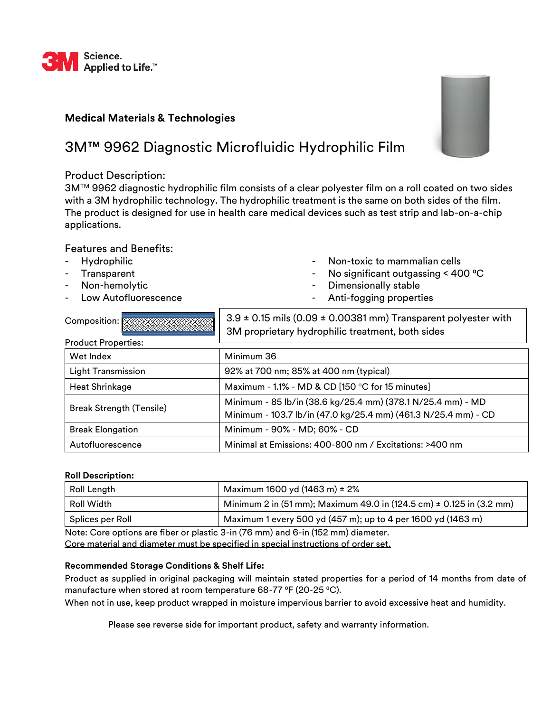

# **Medical Materials & Technologies**

# 3M™ 9962 Diagnostic Microfluidic Hydrophilic Film

## Product Description:

3M™ 9962 diagnostic hydrophilic film consists of a clear polyester film on a roll coated on two sides with a 3M hydrophilic technology. The hydrophilic treatment is the same on both sides of the film. The product is designed for use in health care medical devices such as test strip and lab-on-a-chip applications.

## Features and Benefits:

- **Hydrophilic**
- **Transparent**
- Non-hemolytic
- Low Autofluorescence
- Non-toxic to mammalian cells
- No significant outgassing  $<$  400  $^{\circ}$ C
- Dimensionally stable
- Anti-fogging properties

| Composition: $\mathbb{R}$       | $3.9 \pm 0.15$ mils (0.09 $\pm$ 0.00381 mm) Transparent polyester with<br>3M proprietary hydrophilic treatment, both sides    |
|---------------------------------|-------------------------------------------------------------------------------------------------------------------------------|
| <b>Product Properties:</b>      |                                                                                                                               |
| Wet Index                       | Minimum 36                                                                                                                    |
| <b>Light Transmission</b>       | 92% at 700 nm; 85% at 400 nm (typical)                                                                                        |
| <b>Heat Shrinkage</b>           | Maximum - 1.1% - MD & CD [150 °C for 15 minutes]                                                                              |
| <b>Break Strength (Tensile)</b> | Minimum - 85 lb/in (38.6 kg/25.4 mm) (378.1 N/25.4 mm) - MD<br>Minimum - 103.7 lb/in (47.0 kg/25.4 mm) (461.3 N/25.4 mm) - CD |
| <b>Break Elongation</b>         | Minimum - 90% - MD; 60% - CD                                                                                                  |
| Autofluorescence                | Minimal at Emissions: 400-800 nm / Excitations: >400 nm                                                                       |

### **Roll Description:**

| Roll Length                                                                              | Maximum 1600 yd (1463 m) $\pm$ 2%                                    |
|------------------------------------------------------------------------------------------|----------------------------------------------------------------------|
| Roll Width                                                                               | Minimum 2 in (51 mm); Maximum 49.0 in (124.5 cm) ± 0.125 in (3.2 mm) |
| Splices per Roll                                                                         | Maximum 1 every 500 yd (457 m); up to 4 per 1600 yd (1463 m)         |
| Note: Case outlang as files as plastic $2 \times 76$ mm) and $6 \times 450$ mm) diameter |                                                                      |

Note: Core options are fiber or plastic 3-in (76 mm) and 6-in (152 mm) diameter. Core material and diameter must be specified in special instructions of order set.

### **Recommended Storage Conditions & Shelf Life:**

Product as supplied in original packaging will maintain stated properties for a period of 14 months from date of manufacture when stored at room temperature 68-77 °F (20-25 °C).

When not in use, keep product wrapped in moisture impervious barrier to avoid excessive heat and humidity.

Please see reverse side for important product, safety and warranty information.